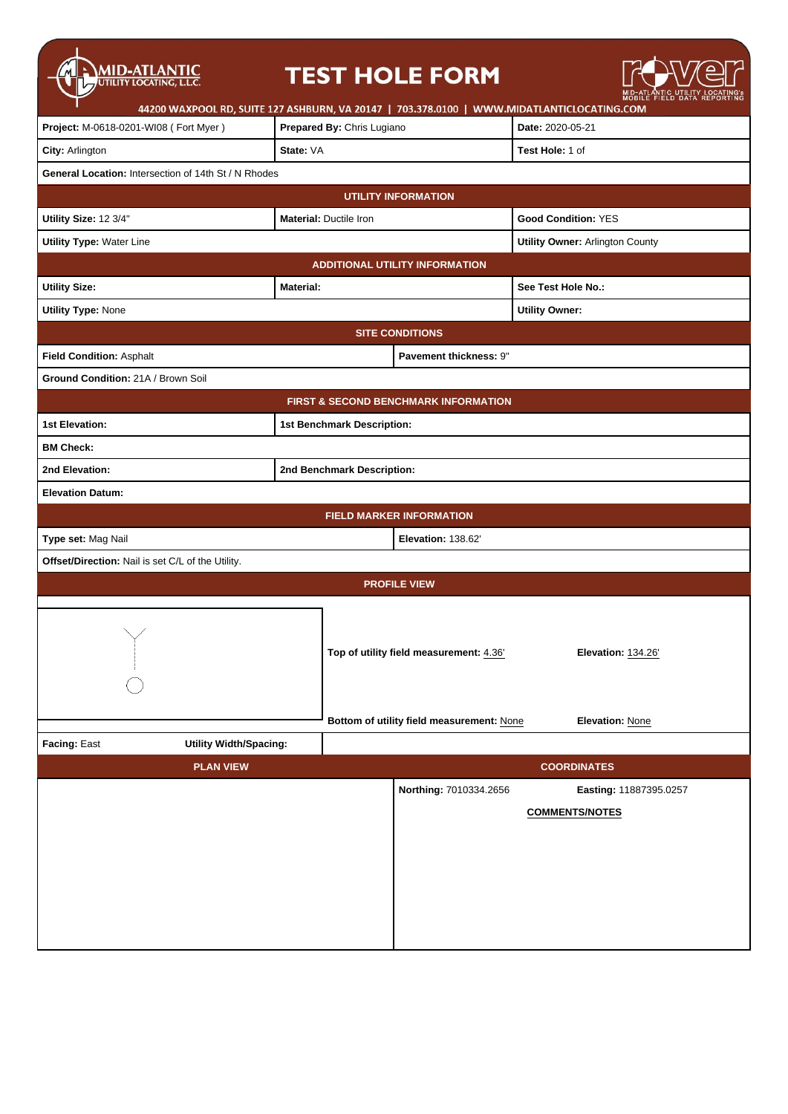| <b>MID-ATLANTIC</b><br>UTILITY LOCATING, L.L.C.                                            |                               | <b>TEST HOLE FORM</b>                           |                                        |  |  |
|--------------------------------------------------------------------------------------------|-------------------------------|-------------------------------------------------|----------------------------------------|--|--|
| 44200 WAXPOOL RD, SUITE 127 ASHBURN, VA 20147   703.378.0100   WWW.MIDATLANTICLOCATING.COM |                               |                                                 |                                        |  |  |
| Project: M-0618-0201-WI08 (Fort Myer)                                                      | Prepared By: Chris Lugiano    |                                                 | Date: 2020-05-21                       |  |  |
| City: Arlington                                                                            | State: VA                     |                                                 | Test Hole: 1 of                        |  |  |
| General Location: Intersection of 14th St / N Rhodes                                       |                               |                                                 |                                        |  |  |
|                                                                                            |                               | <b>UTILITY INFORMATION</b>                      |                                        |  |  |
| Utility Size: 12 3/4"                                                                      | <b>Material: Ductile Iron</b> |                                                 | <b>Good Condition: YES</b>             |  |  |
| <b>Utility Type: Water Line</b>                                                            |                               |                                                 | <b>Utility Owner: Arlington County</b> |  |  |
|                                                                                            |                               | <b>ADDITIONAL UTILITY INFORMATION</b>           |                                        |  |  |
| <b>Utility Size:</b>                                                                       | <b>Material:</b>              |                                                 | See Test Hole No.:                     |  |  |
| <b>Utility Type: None</b>                                                                  |                               |                                                 | <b>Utility Owner:</b>                  |  |  |
|                                                                                            |                               | <b>SITE CONDITIONS</b>                          |                                        |  |  |
| Field Condition: Asphalt                                                                   |                               | Pavement thickness: 9"                          |                                        |  |  |
| Ground Condition: 21A / Brown Soil                                                         |                               |                                                 |                                        |  |  |
|                                                                                            |                               | <b>FIRST &amp; SECOND BENCHMARK INFORMATION</b> |                                        |  |  |
| <b>1st Elevation:</b>                                                                      | 1st Benchmark Description:    |                                                 |                                        |  |  |
| <b>BM Check:</b>                                                                           |                               |                                                 |                                        |  |  |
| 2nd Elevation:                                                                             | 2nd Benchmark Description:    |                                                 |                                        |  |  |
| <b>Elevation Datum:</b>                                                                    |                               |                                                 |                                        |  |  |
|                                                                                            |                               | <b>FIELD MARKER INFORMATION</b>                 |                                        |  |  |
| Type set: Mag Nail<br>Elevation: 138.62                                                    |                               |                                                 |                                        |  |  |
| Offset/Direction: Nail is set C/L of the Utility.                                          |                               |                                                 |                                        |  |  |
| <b>PROFILE VIEW</b>                                                                        |                               |                                                 |                                        |  |  |
| $\sim$<br>$\overline{\phantom{a}}$                                                         |                               | Top of utility field measurement: 4.36'         | Elevation: 134.26'                     |  |  |
|                                                                                            |                               | Bottom of utility field measurement: None       | Elevation: None                        |  |  |
| Facing: East<br><b>Utility Width/Spacing:</b>                                              |                               |                                                 |                                        |  |  |
| <b>PLAN VIEW</b>                                                                           |                               |                                                 | <b>COORDINATES</b>                     |  |  |
|                                                                                            |                               | Northing: 7010334.2656                          | Easting: 11887395.0257                 |  |  |
|                                                                                            |                               |                                                 | <b>COMMENTS/NOTES</b>                  |  |  |
|                                                                                            |                               |                                                 |                                        |  |  |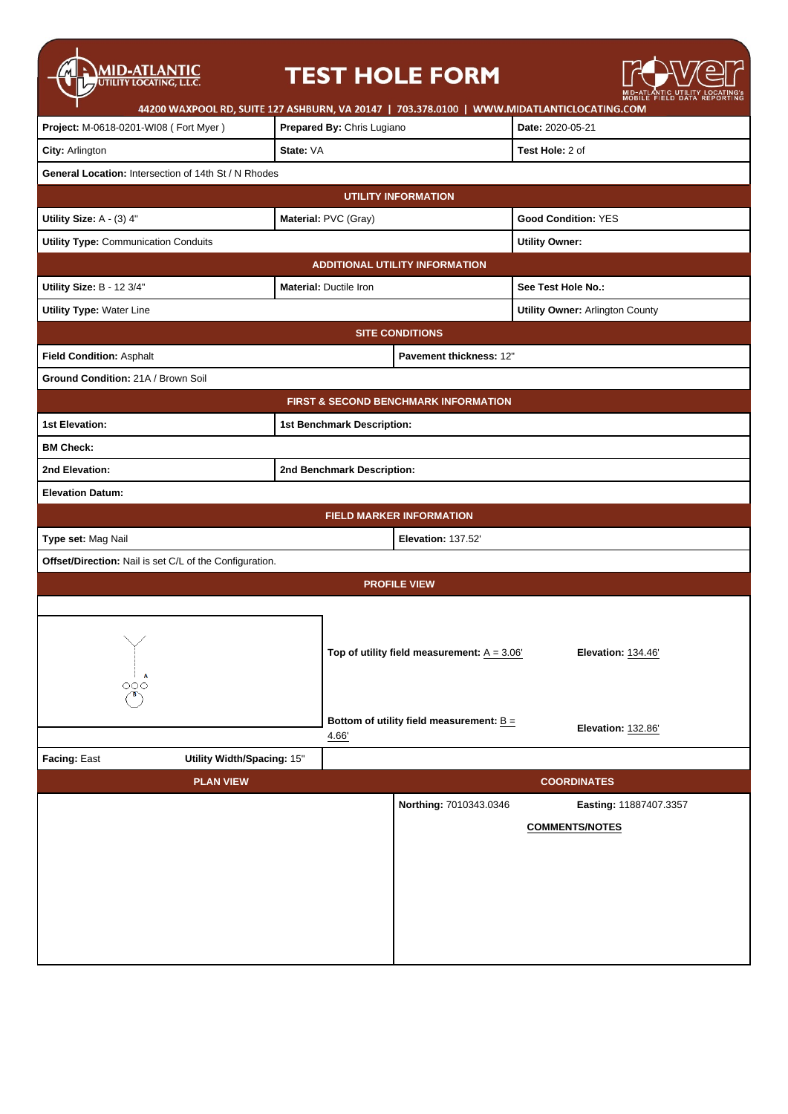| <b>MID-ATLANTIC</b><br>UTILITY LOCATING, L.L.C.         |                               | <b>TEST HOLE FORM</b>                                                                      |                                                 |  |  |
|---------------------------------------------------------|-------------------------------|--------------------------------------------------------------------------------------------|-------------------------------------------------|--|--|
|                                                         |                               | 44200 WAXPOOL RD, SUITE 127 ASHBURN, VA 20147   703.378.0100   WWW.MIDATLANTICLOCATING.COM |                                                 |  |  |
| Project: M-0618-0201-WI08 (Fort Myer)                   | Prepared By: Chris Lugiano    |                                                                                            | Date: 2020-05-21                                |  |  |
| City: Arlington                                         | State: VA                     |                                                                                            | Test Hole: 2 of                                 |  |  |
| General Location: Intersection of 14th St / N Rhodes    |                               |                                                                                            |                                                 |  |  |
|                                                         | <b>UTILITY INFORMATION</b>    |                                                                                            |                                                 |  |  |
| Utility Size: A - (3) 4"                                | Material: PVC (Gray)          |                                                                                            | <b>Good Condition: YES</b>                      |  |  |
| <b>Utility Type: Communication Conduits</b>             |                               |                                                                                            | <b>Utility Owner:</b>                           |  |  |
|                                                         |                               | <b>ADDITIONAL UTILITY INFORMATION</b>                                                      |                                                 |  |  |
| Utility Size: B - 12 3/4"                               | <b>Material: Ductile Iron</b> |                                                                                            | See Test Hole No.:                              |  |  |
| <b>Utility Type: Water Line</b>                         |                               |                                                                                            | <b>Utility Owner: Arlington County</b>          |  |  |
|                                                         |                               | <b>SITE CONDITIONS</b>                                                                     |                                                 |  |  |
| Field Condition: Asphalt                                |                               | Pavement thickness: 12"                                                                    |                                                 |  |  |
| Ground Condition: 21A / Brown Soil                      |                               |                                                                                            |                                                 |  |  |
|                                                         |                               | <b>FIRST &amp; SECOND BENCHMARK INFORMATION</b>                                            |                                                 |  |  |
| <b>1st Elevation:</b>                                   | 1st Benchmark Description:    |                                                                                            |                                                 |  |  |
| <b>BM Check:</b>                                        |                               |                                                                                            |                                                 |  |  |
| 2nd Elevation:                                          | 2nd Benchmark Description:    |                                                                                            |                                                 |  |  |
| <b>Elevation Datum:</b>                                 |                               |                                                                                            |                                                 |  |  |
|                                                         |                               | <b>FIELD MARKER INFORMATION</b>                                                            |                                                 |  |  |
| Type set: Mag Nail<br><b>Elevation: 137.52'</b>         |                               |                                                                                            |                                                 |  |  |
| Offset/Direction: Nail is set C/L of the Configuration. |                               |                                                                                            |                                                 |  |  |
| <b>PROFILE VIEW</b>                                     |                               |                                                                                            |                                                 |  |  |
| A<br>$\circ \circ \circ$                                |                               | Top of utility field measurement: $A = 3.06'$                                              | Elevation: 134.46'                              |  |  |
|                                                         | 4.66                          | Bottom of utility field measurement: $B =$                                                 | Elevation: 132.86'                              |  |  |
| Facing: East                                            | Utility Width/Spacing: 15"    |                                                                                            |                                                 |  |  |
| <b>PLAN VIEW</b>                                        |                               |                                                                                            | <b>COORDINATES</b>                              |  |  |
|                                                         |                               | Northing: 7010343.0346                                                                     | Easting: 11887407.3357<br><b>COMMENTS/NOTES</b> |  |  |
|                                                         |                               |                                                                                            |                                                 |  |  |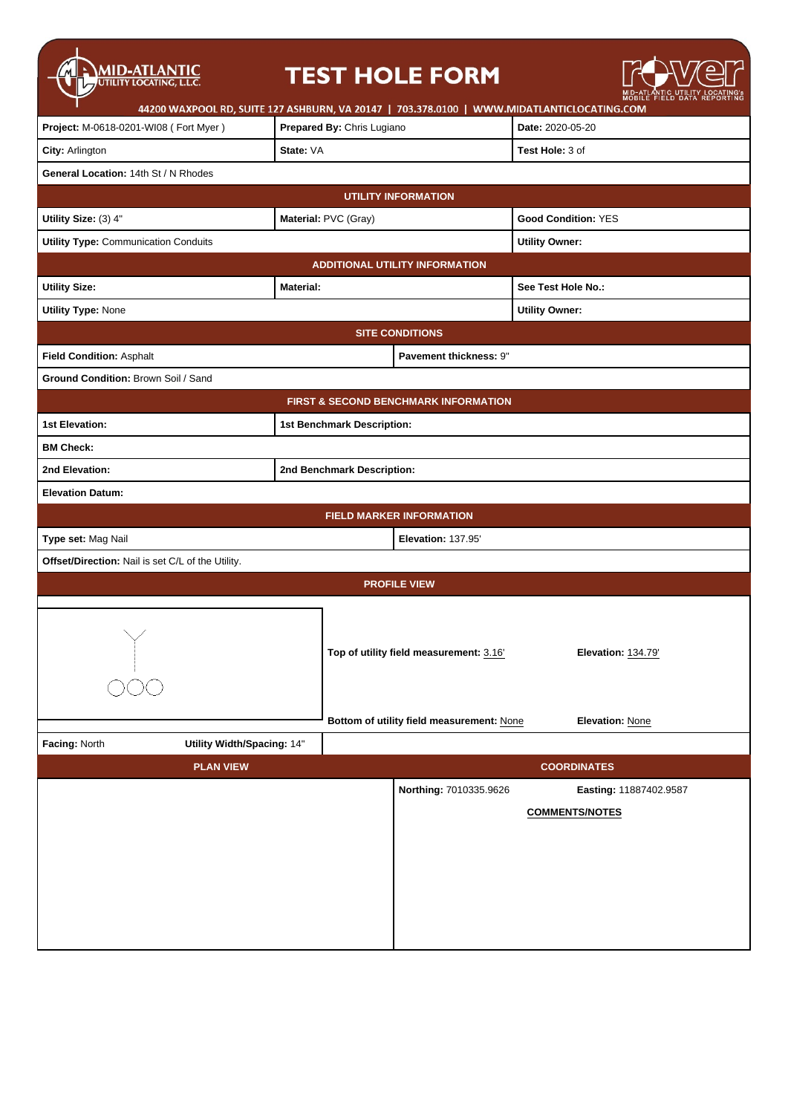| MID-ATLANTIC<br>44200 WAXPOOL RD, SUITE 127 ASHBURN, VA 20147   703.378.0100   WWW.MIDATLANTICLOCATING.COM |                            |                            | <b>TEST HOLE FORM</b>                                                                |                                       | MID-AILANTIC UTILITY LOI<br>MOBILE FIELD DATA REF |  |
|------------------------------------------------------------------------------------------------------------|----------------------------|----------------------------|--------------------------------------------------------------------------------------|---------------------------------------|---------------------------------------------------|--|
| Project: M-0618-0201-WI08 (Fort Myer)                                                                      | Prepared By: Chris Lugiano |                            |                                                                                      | Date: 2020-05-20                      |                                                   |  |
| City: Arlington                                                                                            | State: VA                  |                            |                                                                                      | Test Hole: 3 of                       |                                                   |  |
| General Location: 14th St / N Rhodes                                                                       |                            |                            |                                                                                      |                                       |                                                   |  |
|                                                                                                            |                            |                            | <b>UTILITY INFORMATION</b>                                                           |                                       |                                                   |  |
| Utility Size: (3) 4"                                                                                       |                            | Material: PVC (Gray)       |                                                                                      | <b>Good Condition: YES</b>            |                                                   |  |
| <b>Utility Type: Communication Conduits</b>                                                                |                            |                            |                                                                                      | <b>Utility Owner:</b>                 |                                                   |  |
|                                                                                                            |                            |                            | <b>ADDITIONAL UTILITY INFORMATION</b>                                                |                                       |                                                   |  |
| <b>Utility Size:</b>                                                                                       | <b>Material:</b>           |                            |                                                                                      | See Test Hole No.:                    |                                                   |  |
| <b>Utility Type: None</b>                                                                                  |                            |                            |                                                                                      | <b>Utility Owner:</b>                 |                                                   |  |
|                                                                                                            |                            |                            | <b>SITE CONDITIONS</b>                                                               |                                       |                                                   |  |
| Field Condition: Asphalt                                                                                   |                            |                            | Pavement thickness: 9"                                                               |                                       |                                                   |  |
| Ground Condition: Brown Soil / Sand                                                                        |                            |                            |                                                                                      |                                       |                                                   |  |
|                                                                                                            |                            |                            | <b>FIRST &amp; SECOND BENCHMARK INFORMATION</b>                                      |                                       |                                                   |  |
| <b>1st Elevation:</b>                                                                                      |                            | 1st Benchmark Description: |                                                                                      |                                       |                                                   |  |
| <b>BM Check:</b>                                                                                           |                            |                            |                                                                                      |                                       |                                                   |  |
| 2nd Elevation:                                                                                             |                            | 2nd Benchmark Description: |                                                                                      |                                       |                                                   |  |
| <b>Elevation Datum:</b>                                                                                    |                            |                            |                                                                                      |                                       |                                                   |  |
|                                                                                                            |                            |                            | FIELD MARKER INFORMATION                                                             |                                       |                                                   |  |
| Type set: Mag Nail                                                                                         |                            |                            | <b>Elevation: 137.95'</b>                                                            |                                       |                                                   |  |
| Offset/Direction: Nail is set C/L of the Utility.                                                          |                            |                            |                                                                                      |                                       |                                                   |  |
|                                                                                                            |                            |                            | <b>PROFILE VIEW</b>                                                                  |                                       |                                                   |  |
|                                                                                                            |                            |                            | Top of utility field measurement: 3.16'<br>Bottom of utility field measurement: None | Elevation: 134.79'<br>Elevation: None |                                                   |  |
| Facing: North<br>Utility Width/Spacing: 14"                                                                |                            |                            |                                                                                      |                                       |                                                   |  |
| <b>PLAN VIEW</b>                                                                                           |                            |                            |                                                                                      | <b>COORDINATES</b>                    |                                                   |  |
|                                                                                                            |                            |                            | Northing: 7010335.9626                                                               |                                       | Easting: 11887402.9587                            |  |
|                                                                                                            |                            |                            |                                                                                      | <b>COMMENTS/NOTES</b>                 |                                                   |  |
|                                                                                                            |                            |                            |                                                                                      |                                       |                                                   |  |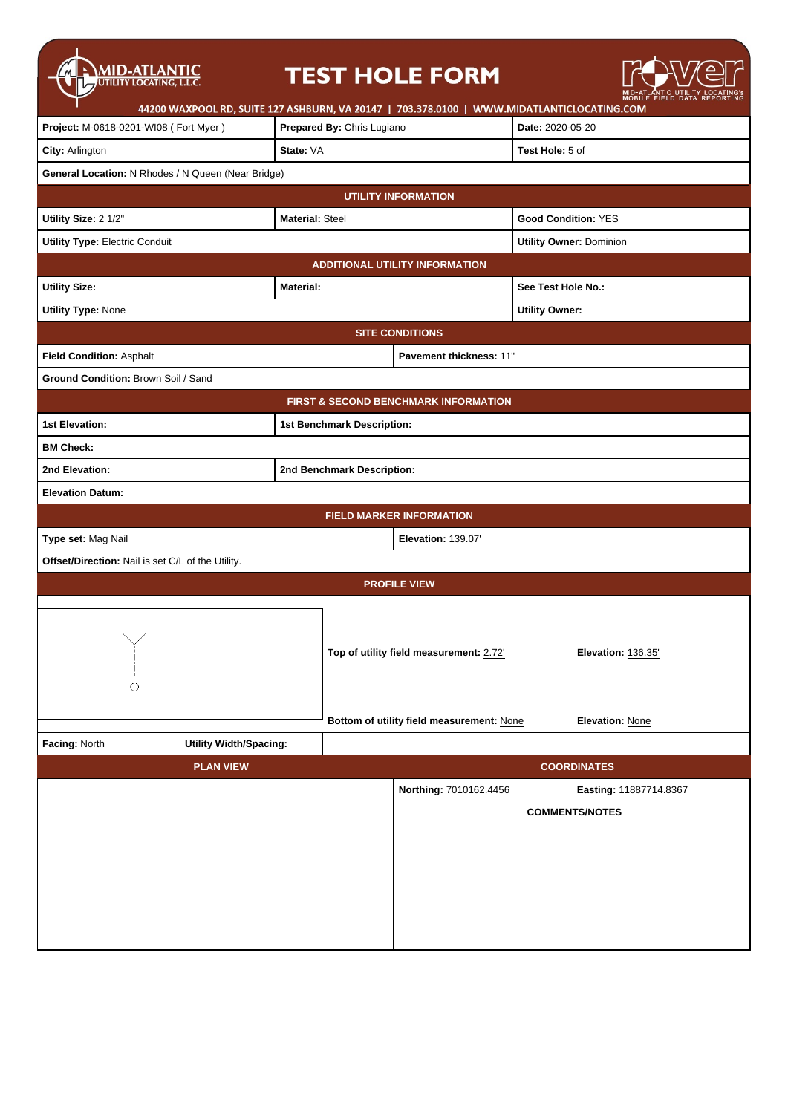| <b>MID-ATLANTIC</b><br>UTILITY LOCATING, L.L.C.              |                                           | <b>TEST HOLE FORM</b>                   |                                |                                |  |
|--------------------------------------------------------------|-------------------------------------------|-----------------------------------------|--------------------------------|--------------------------------|--|
| 44200 WAXPOOL RD, SUITE 127 ASHBURN, VA 20147   703.378.0100 |                                           |                                         |                                | WWW.MIDATLANTICLOCATING.COM    |  |
| Project: M-0618-0201-WI08 (Fort Myer)                        | Prepared By: Chris Lugiano                |                                         |                                | Date: 2020-05-20               |  |
| City: Arlington                                              | State: VA                                 |                                         |                                | Test Hole: 5 of                |  |
| General Location: N Rhodes / N Queen (Near Bridge)           |                                           |                                         |                                |                                |  |
|                                                              |                                           | <b>UTILITY INFORMATION</b>              |                                |                                |  |
| Utility Size: 2 1/2"                                         | <b>Material: Steel</b>                    |                                         |                                | <b>Good Condition: YES</b>     |  |
| <b>Utility Type: Electric Conduit</b>                        |                                           |                                         |                                | <b>Utility Owner: Dominion</b> |  |
|                                                              |                                           | <b>ADDITIONAL UTILITY INFORMATION</b>   |                                |                                |  |
| <b>Utility Size:</b>                                         | <b>Material:</b>                          |                                         |                                | See Test Hole No.:             |  |
| <b>Utility Type: None</b>                                    |                                           |                                         |                                | <b>Utility Owner:</b>          |  |
|                                                              |                                           | <b>SITE CONDITIONS</b>                  |                                |                                |  |
| Field Condition: Asphalt                                     |                                           |                                         | <b>Pavement thickness: 11"</b> |                                |  |
| Ground Condition: Brown Soil / Sand                          |                                           |                                         |                                |                                |  |
|                                                              |                                           | FIRST & SECOND BENCHMARK INFORMATION    |                                |                                |  |
| <b>1st Elevation:</b>                                        |                                           | 1st Benchmark Description:              |                                |                                |  |
| <b>BM Check:</b>                                             |                                           |                                         |                                |                                |  |
| 2nd Elevation:                                               |                                           | 2nd Benchmark Description:              |                                |                                |  |
| <b>Elevation Datum:</b>                                      |                                           |                                         |                                |                                |  |
|                                                              |                                           | <b>FIELD MARKER INFORMATION</b>         |                                |                                |  |
| Type set: Mag Nail<br>Elevation: 139.07'                     |                                           |                                         |                                |                                |  |
| Offset/Direction: Nail is set C/L of the Utility.            |                                           |                                         |                                |                                |  |
| <b>PROFILE VIEW</b>                                          |                                           |                                         |                                |                                |  |
|                                                              |                                           |                                         |                                |                                |  |
|                                                              |                                           |                                         |                                |                                |  |
|                                                              |                                           | Top of utility field measurement: 2.72' |                                | Elevation: 136.35'             |  |
| ∩                                                            |                                           |                                         |                                |                                |  |
|                                                              |                                           |                                         |                                |                                |  |
|                                                              | Bottom of utility field measurement: None |                                         |                                | Elevation: None                |  |
| Facing: North<br><b>Utility Width/Spacing:</b>               |                                           |                                         |                                |                                |  |
| <b>PLAN VIEW</b>                                             |                                           |                                         |                                | <b>COORDINATES</b>             |  |
|                                                              |                                           |                                         | Northing: 7010162.4456         | Easting: 11887714.8367         |  |
|                                                              |                                           |                                         |                                | <b>COMMENTS/NOTES</b>          |  |
|                                                              |                                           |                                         |                                |                                |  |
|                                                              |                                           |                                         |                                |                                |  |
|                                                              |                                           |                                         |                                |                                |  |
|                                                              |                                           |                                         |                                |                                |  |
|                                                              |                                           |                                         |                                |                                |  |
|                                                              |                                           |                                         |                                |                                |  |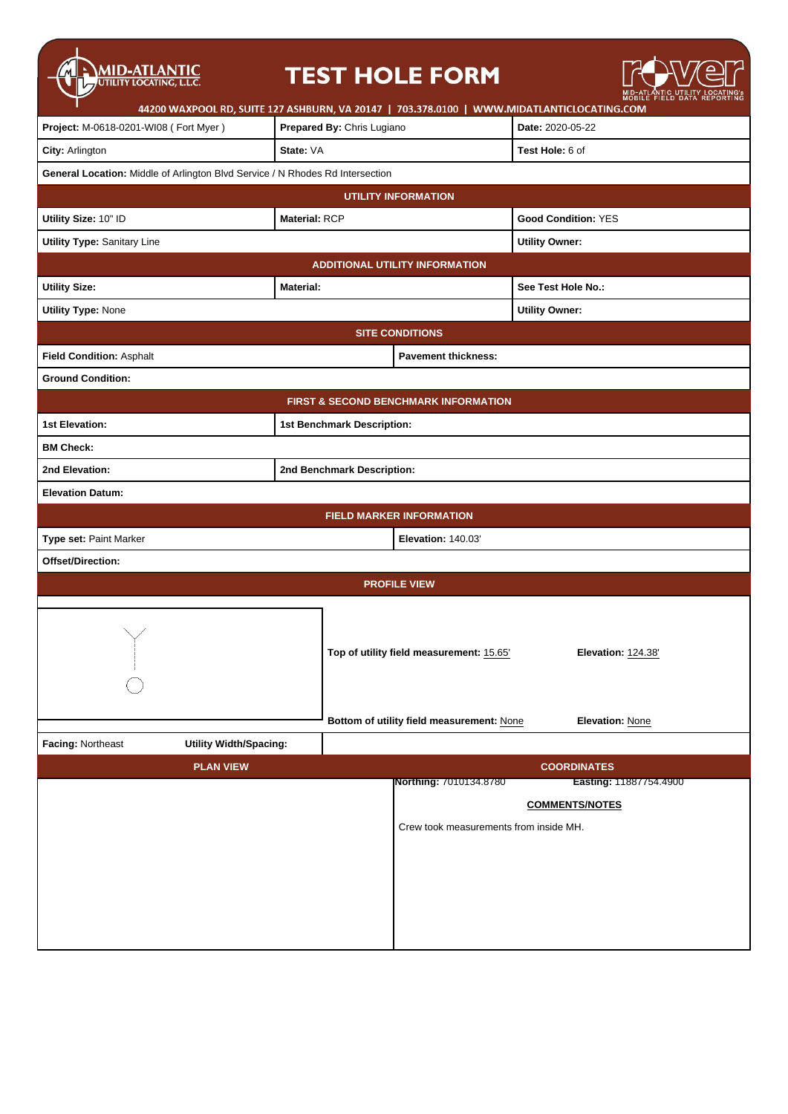| <b>MID-ATLANTIC</b><br>UTILITY LOCATING, L.L.C.                               |                      | <b>TEST HOLE FORM</b>                                                                      |                               |  |  |
|-------------------------------------------------------------------------------|----------------------|--------------------------------------------------------------------------------------------|-------------------------------|--|--|
|                                                                               |                      | 44200 WAXPOOL RD, SUITE 127 ASHBURN, VA 20147   703.378.0100   WWW.MIDATLANTICLOCATING.COM |                               |  |  |
| Project: M-0618-0201-WI08 (Fort Myer)                                         |                      | Prepared By: Chris Lugiano                                                                 | Date: 2020-05-22              |  |  |
| City: Arlington                                                               | State: VA            |                                                                                            | Test Hole: 6 of               |  |  |
| General Location: Middle of Arlington Blvd Service / N Rhodes Rd Intersection |                      |                                                                                            |                               |  |  |
| <b>UTILITY INFORMATION</b>                                                    |                      |                                                                                            |                               |  |  |
| Utility Size: 10" ID                                                          | <b>Material: RCP</b> |                                                                                            | <b>Good Condition: YES</b>    |  |  |
| <b>Utility Type: Sanitary Line</b>                                            |                      |                                                                                            | <b>Utility Owner:</b>         |  |  |
|                                                                               |                      | <b>ADDITIONAL UTILITY INFORMATION</b>                                                      |                               |  |  |
| <b>Utility Size:</b>                                                          | <b>Material:</b>     |                                                                                            | See Test Hole No.:            |  |  |
| <b>Utility Type: None</b>                                                     |                      |                                                                                            | <b>Utility Owner:</b>         |  |  |
|                                                                               |                      | <b>SITE CONDITIONS</b>                                                                     |                               |  |  |
| Field Condition: Asphalt                                                      |                      | <b>Pavement thickness:</b>                                                                 |                               |  |  |
| <b>Ground Condition:</b>                                                      |                      |                                                                                            |                               |  |  |
|                                                                               |                      | <b>FIRST &amp; SECOND BENCHMARK INFORMATION</b>                                            |                               |  |  |
| 1st Elevation:                                                                |                      | 1st Benchmark Description:                                                                 |                               |  |  |
| <b>BM Check:</b>                                                              |                      |                                                                                            |                               |  |  |
| 2nd Elevation:                                                                |                      | 2nd Benchmark Description:                                                                 |                               |  |  |
| <b>Elevation Datum:</b>                                                       |                      |                                                                                            |                               |  |  |
| <b>FIELD MARKER INFORMATION</b>                                               |                      |                                                                                            |                               |  |  |
| Type set: Paint Marker<br>Elevation: 140.03'                                  |                      |                                                                                            |                               |  |  |
| Offset/Direction:                                                             |                      |                                                                                            |                               |  |  |
|                                                                               |                      | <b>PROFILE VIEW</b>                                                                        |                               |  |  |
|                                                                               |                      |                                                                                            |                               |  |  |
| $\mathcal{N} = \mathcal{N}$                                                   |                      |                                                                                            |                               |  |  |
|                                                                               |                      | Top of utility field measurement: 15.65'<br>Elevation: 124.38'                             |                               |  |  |
|                                                                               |                      |                                                                                            |                               |  |  |
|                                                                               |                      | Bottom of utility field measurement: None                                                  | <b>Elevation: None</b>        |  |  |
| Facing: Northeast<br><b>Utility Width/Spacing:</b>                            |                      |                                                                                            |                               |  |  |
| <b>PLAN VIEW</b>                                                              |                      |                                                                                            | <b>COORDINATES</b>            |  |  |
|                                                                               |                      | Northing: 7010134.8780                                                                     | <b>Easting: 11887754.4900</b> |  |  |
|                                                                               |                      |                                                                                            | <b>COMMENTS/NOTES</b>         |  |  |
|                                                                               |                      | Crew took measurements from inside MH.                                                     |                               |  |  |
|                                                                               |                      |                                                                                            |                               |  |  |
|                                                                               |                      |                                                                                            |                               |  |  |
|                                                                               |                      |                                                                                            |                               |  |  |
|                                                                               |                      |                                                                                            |                               |  |  |
|                                                                               |                      |                                                                                            |                               |  |  |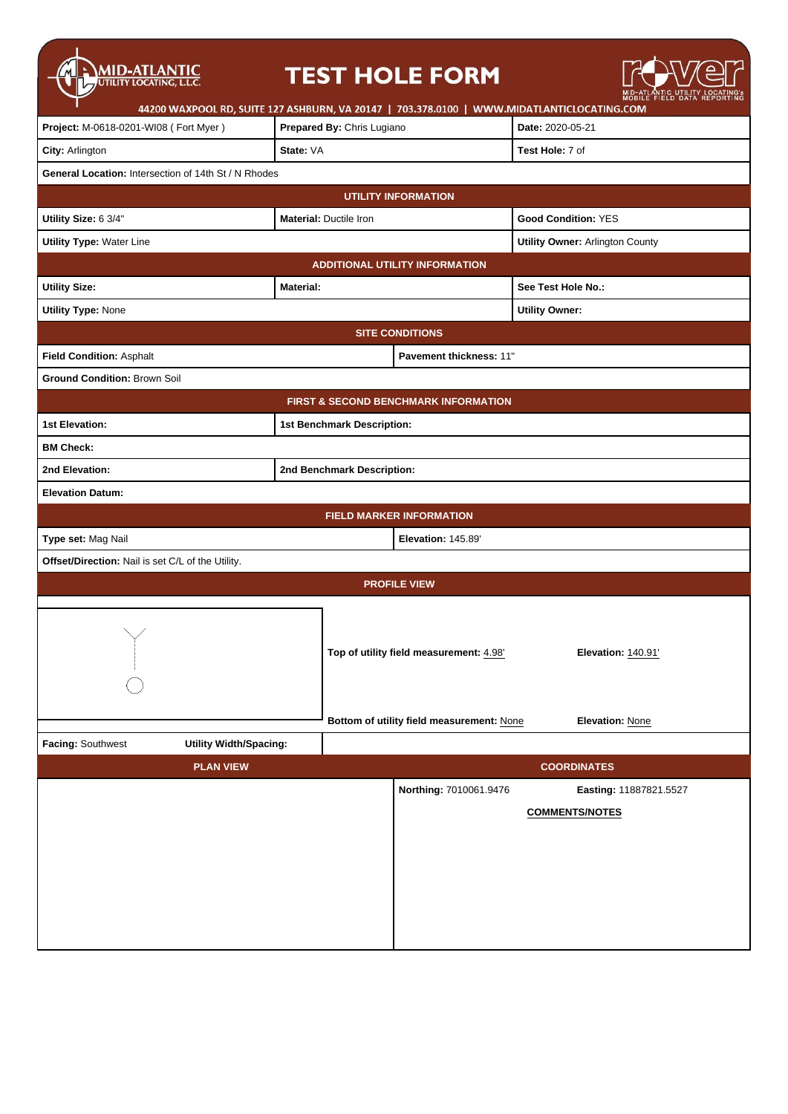| <b>MID-ATLANTIC</b><br>UTILITY LOCATING, L.L.C.                                            |                               | <b>TEST HOLE FORM</b>                     |                            |  |  |
|--------------------------------------------------------------------------------------------|-------------------------------|-------------------------------------------|----------------------------|--|--|
| 44200 WAXPOOL RD, SUITE 127 ASHBURN, VA 20147   703.378.0100   WWW.MIDATLANTICLOCATING.COM |                               |                                           |                            |  |  |
| Project: M-0618-0201-WI08 (Fort Myer)                                                      | Prepared By: Chris Lugiano    |                                           | Date: 2020-05-21           |  |  |
| City: Arlington                                                                            | State: VA                     |                                           | Test Hole: 7 of            |  |  |
| General Location: Intersection of 14th St / N Rhodes                                       |                               |                                           |                            |  |  |
|                                                                                            |                               | <b>UTILITY INFORMATION</b>                |                            |  |  |
| Utility Size: 6 3/4"                                                                       | <b>Material: Ductile Iron</b> |                                           | <b>Good Condition: YES</b> |  |  |
| <b>Utility Type: Water Line</b>                                                            |                               | <b>Utility Owner: Arlington County</b>    |                            |  |  |
|                                                                                            |                               | <b>ADDITIONAL UTILITY INFORMATION</b>     |                            |  |  |
| <b>Utility Size:</b>                                                                       | <b>Material:</b>              |                                           | See Test Hole No.:         |  |  |
| <b>Utility Type: None</b>                                                                  |                               |                                           | <b>Utility Owner:</b>      |  |  |
|                                                                                            |                               | <b>SITE CONDITIONS</b>                    |                            |  |  |
| Field Condition: Asphalt                                                                   |                               | Pavement thickness: 11"                   |                            |  |  |
| <b>Ground Condition: Brown Soil</b>                                                        |                               |                                           |                            |  |  |
|                                                                                            |                               | FIRST & SECOND BENCHMARK INFORMATION      |                            |  |  |
| <b>1st Elevation:</b>                                                                      | 1st Benchmark Description:    |                                           |                            |  |  |
| <b>BM Check:</b>                                                                           |                               |                                           |                            |  |  |
| 2nd Elevation:                                                                             | 2nd Benchmark Description:    |                                           |                            |  |  |
| <b>Elevation Datum:</b>                                                                    |                               |                                           |                            |  |  |
|                                                                                            |                               | <b>FIELD MARKER INFORMATION</b>           |                            |  |  |
| Type set: Mag Nail                                                                         |                               |                                           |                            |  |  |
| Offset/Direction: Nail is set C/L of the Utility.                                          |                               |                                           |                            |  |  |
| <b>PROFILE VIEW</b>                                                                        |                               |                                           |                            |  |  |
| $\sim$<br>$\overline{\phantom{a}}$                                                         |                               | Top of utility field measurement: 4.98'   | Elevation: 140.91'         |  |  |
|                                                                                            |                               | Bottom of utility field measurement: None | Elevation: None            |  |  |
| Facing: Southwest<br><b>Utility Width/Spacing:</b>                                         |                               |                                           |                            |  |  |
| <b>PLAN VIEW</b>                                                                           |                               |                                           | <b>COORDINATES</b>         |  |  |
|                                                                                            |                               | Northing: 7010061.9476                    | Easting: 11887821.5527     |  |  |
|                                                                                            |                               |                                           | <b>COMMENTS/NOTES</b>      |  |  |
|                                                                                            |                               |                                           |                            |  |  |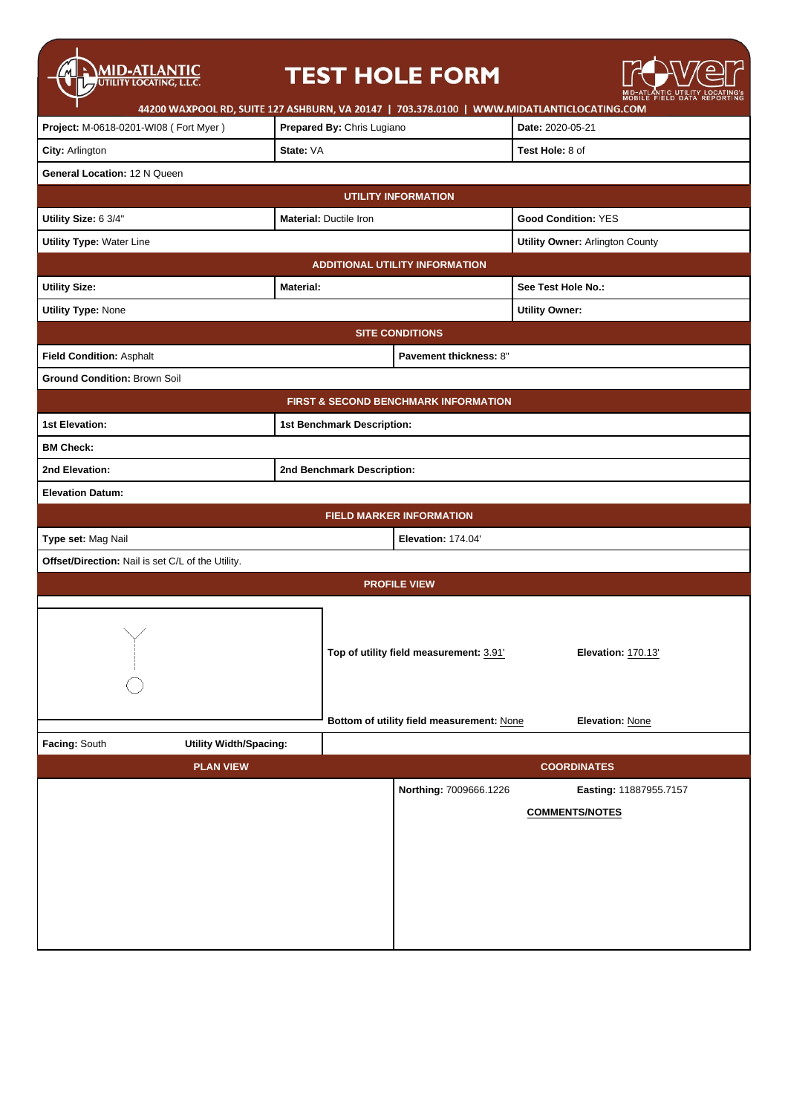| <b>MID-ATLANTIC</b><br>UTILITY LOCATING, L.L.C.              |                            |                               | <b>TEST HOLE FORM</b>                           |                                        |                        |  |
|--------------------------------------------------------------|----------------------------|-------------------------------|-------------------------------------------------|----------------------------------------|------------------------|--|
| 44200 WAXPOOL RD, SUITE 127 ASHBURN, VA 20147   703.378.0100 |                            |                               |                                                 | WWW.MIDATLANTICLOCATING.COM            |                        |  |
| Project: M-0618-0201-WI08 (Fort Myer)                        | Prepared By: Chris Lugiano |                               |                                                 | Date: 2020-05-21                       |                        |  |
| City: Arlington                                              | State: VA                  |                               |                                                 | Test Hole: 8 of                        |                        |  |
| General Location: 12 N Queen                                 |                            |                               |                                                 |                                        |                        |  |
|                                                              |                            |                               | <b>UTILITY INFORMATION</b>                      |                                        |                        |  |
| Utility Size: 6 3/4"                                         |                            | <b>Material: Ductile Iron</b> |                                                 | <b>Good Condition: YES</b>             |                        |  |
| <b>Utility Type: Water Line</b>                              |                            |                               |                                                 | <b>Utility Owner: Arlington County</b> |                        |  |
|                                                              |                            |                               | <b>ADDITIONAL UTILITY INFORMATION</b>           |                                        |                        |  |
| <b>Utility Size:</b>                                         | <b>Material:</b>           |                               |                                                 | See Test Hole No.:                     |                        |  |
| <b>Utility Type: None</b>                                    |                            |                               |                                                 | <b>Utility Owner:</b>                  |                        |  |
|                                                              |                            |                               | <b>SITE CONDITIONS</b>                          |                                        |                        |  |
| Field Condition: Asphalt                                     |                            |                               | Pavement thickness: 8"                          |                                        |                        |  |
| <b>Ground Condition: Brown Soil</b>                          |                            |                               |                                                 |                                        |                        |  |
|                                                              |                            |                               | <b>FIRST &amp; SECOND BENCHMARK INFORMATION</b> |                                        |                        |  |
| 1st Elevation:                                               | 1st Benchmark Description: |                               |                                                 |                                        |                        |  |
| <b>BM Check:</b>                                             |                            |                               |                                                 |                                        |                        |  |
| 2nd Elevation:                                               |                            | 2nd Benchmark Description:    |                                                 |                                        |                        |  |
| <b>Elevation Datum:</b>                                      |                            |                               |                                                 |                                        |                        |  |
| <b>FIELD MARKER INFORMATION</b>                              |                            |                               |                                                 |                                        |                        |  |
| Type set: Mag Nail                                           |                            |                               | Elevation: 174.04                               |                                        |                        |  |
| Offset/Direction: Nail is set C/L of the Utility.            |                            |                               |                                                 |                                        |                        |  |
| <b>PROFILE VIEW</b>                                          |                            |                               |                                                 |                                        |                        |  |
|                                                              |                            |                               |                                                 |                                        |                        |  |
| $\searrow$ /                                                 |                            |                               |                                                 |                                        |                        |  |
|                                                              |                            |                               | Top of utility field measurement: 3.91'         |                                        | Elevation: 170.13'     |  |
|                                                              |                            |                               |                                                 |                                        |                        |  |
|                                                              |                            |                               |                                                 |                                        |                        |  |
|                                                              |                            |                               | Bottom of utility field measurement: None       | Elevation: None                        |                        |  |
| Facing: South<br><b>Utility Width/Spacing:</b>               |                            |                               |                                                 |                                        |                        |  |
| <b>PLAN VIEW</b>                                             |                            |                               |                                                 | <b>COORDINATES</b>                     |                        |  |
|                                                              |                            |                               | Northing: 7009666.1226                          |                                        | Easting: 11887955.7157 |  |
|                                                              |                            |                               |                                                 | <b>COMMENTS/NOTES</b>                  |                        |  |
|                                                              |                            |                               |                                                 |                                        |                        |  |
|                                                              |                            |                               |                                                 |                                        |                        |  |
|                                                              |                            |                               |                                                 |                                        |                        |  |
|                                                              |                            |                               |                                                 |                                        |                        |  |
|                                                              |                            |                               |                                                 |                                        |                        |  |
|                                                              |                            |                               |                                                 |                                        |                        |  |